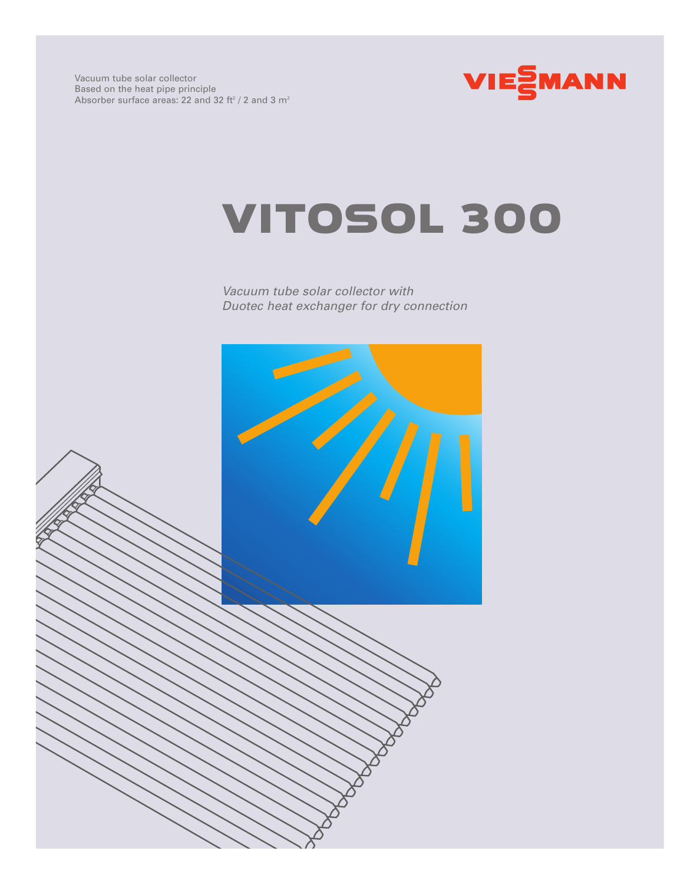

## VITOSOL 300

*Vacuum tube solar collector with Duotec heat exchanger for dry connection*